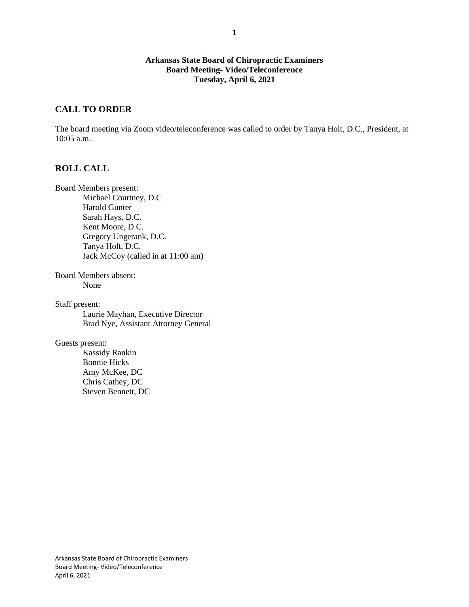#### **Arkansas State Board of Chiropractic Examiners Board Meeting- Video/Teleconference Tuesday, April 6, 2021**

### **CALL TO ORDER**

The board meeting via Zoom video/teleconference was called to order by Tanya Holt, D.C., President, at 10:05 a.m.

### **ROLL CALL**

Board Members present: Michael Courtney, D.C Harold Gunter Sarah Hays, D.C. Kent Moore, D.C. Gregory Ungerank, D.C. Tanya Holt, D.C. Jack McCoy (called in at 11:00 am)

Board Members absent: None

Staff present: Laurie Mayhan, Executive Director Brad Nye, Assistant Attorney General

Guests present:

Kassidy Rankin Bonnie Hicks Amy McKee, DC Chris Cathey, DC Steven Bennett, DC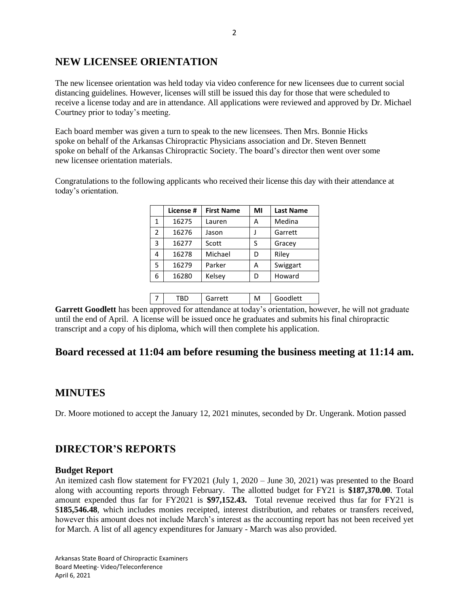# **NEW LICENSEE ORIENTATION**

The new licensee orientation was held today via video conference for new licensees due to current social distancing guidelines. However, licenses will still be issued this day for those that were scheduled to receive a license today and are in attendance. All applications were reviewed and approved by Dr. Michael Courtney prior to today's meeting.

Each board member was given a turn to speak to the new licensees. Then Mrs. Bonnie Hicks spoke on behalf of the Arkansas Chiropractic Physicians association and Dr. Steven Bennett spoke on behalf of the Arkansas Chiropractic Society. The board's director then went over some new licensee orientation materials.

Congratulations to the following applicants who received their license this day with their attendance at today's orientation.

|   | License # | <b>First Name</b> | MI | <b>Last Name</b> |
|---|-----------|-------------------|----|------------------|
| 1 | 16275     | Lauren            | А  | Medina           |
| 2 | 16276     | Jason             |    | Garrett          |
| 3 | 16277     | Scott             | S  | Gracey           |
| 4 | 16278     | Michael           | D  | Riley            |
| 5 | 16279     | Parker            | А  | Swiggart         |
| 6 | 16280     | Kelsey            | D  | Howard           |
|   |           |                   |    |                  |

|  | $nrrn++$ | M | Goodlett |
|--|----------|---|----------|
|  |          |   |          |

**Garrett Goodlett** has been approved for attendance at today's orientation, however, he will not graduate until the end of April. A license will be issued once he graduates and submits his final chiropractic transcript and a copy of his diploma, which will then complete his application.

# **Board recessed at 11:04 am before resuming the business meeting at 11:14 am.**

## **MINUTES**

Dr. Moore motioned to accept the January 12, 2021 minutes, seconded by Dr. Ungerank. Motion passed

# **DIRECTOR'S REPORTS**

#### **Budget Report**

An itemized cash flow statement for FY2021 (July 1, 2020 – June 30, 2021) was presented to the Board along with accounting reports through February. The allotted budget for FY21 is **\$187,370.00**. Total amount expended thus far for FY2021 is **\$97,152.43.** Total revenue received thus far for FY21 is \$**185,546.48**, which includes monies receipted, interest distribution, and rebates or transfers received, however this amount does not include March's interest as the accounting report has not been received yet for March. A list of all agency expenditures for January - March was also provided.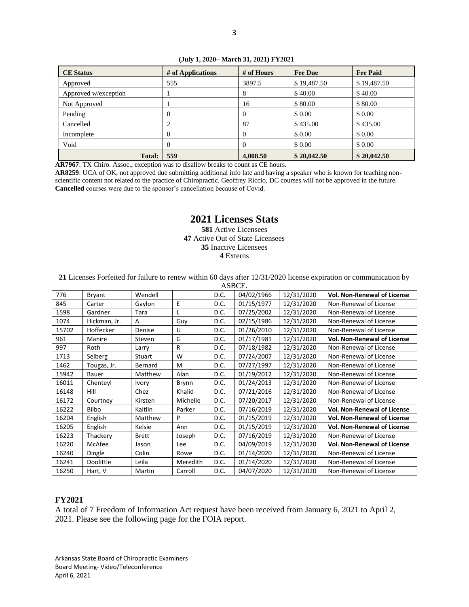#### **(July 1, 2020– March 31, 2021) FY2021**

| <b>CE</b> Status     | # of Applications | # of Hours | <b>Fee Due</b> | <b>Fee Paid</b> |
|----------------------|-------------------|------------|----------------|-----------------|
| Approved             | 555               | 3897.5     | \$19,487.50    | \$19,487.50     |
| Approved w/exception |                   | 8          | \$40.00        | \$40.00         |
| Not Approved         |                   | 16         | \$80.00        | \$80.00         |
| Pending              | 0                 | 0          | \$ 0.00        | \$ 0.00         |
| Cancelled            |                   | 87         | \$435.00       | \$435.00        |
| Incomplete           | $\theta$          | 0          | \$0.00         | \$0.00          |
| Void                 | 0                 |            | \$ 0.00        | \$0.00          |
| <b>Total:</b>        | 559               | 4,008.50   | \$20,042.50    | \$20,042.50     |

**AR7967**: TX Chiro. Assoc., exception was to disallow breaks to count as CE hours.

**AR8259**: UCA of OK, not approved due submitting additional info late and having a speaker who is known for teaching nonscientific content not related to the practice of Chiropractic. Geoffrey Riccio, DC courses will not be approved in the future. **Cancelled** courses were due to the sponsor's cancellation because of Covid.

### **2021 Licenses Stats**

 Active Licensees Active Out of State Licensees Inactive Licensees **4** Externs

**21** Licenses Forfeited for failure to renew within 60 days after 12/31/2020 license expiration or communication by

| ASBCE. |              |              |          |      |            |            |                                    |
|--------|--------------|--------------|----------|------|------------|------------|------------------------------------|
| 776    | Bryant       | Wendell      |          | D.C. | 04/02/1966 | 12/31/2020 | <b>Vol. Non-Renewal of License</b> |
| 845    | Carter       | Gaylon       | E        | D.C. | 01/15/1977 | 12/31/2020 | Non-Renewal of License             |
| 1598   | Gardner      | Tara         |          | D.C. | 07/25/2002 | 12/31/2020 | Non-Renewal of License             |
| 1074   | Hickman, Jr. | Α.           | Guy      | D.C. | 02/15/1986 | 12/31/2020 | Non-Renewal of License             |
| 15702  | Hoffecker    | Denise       | U        | D.C. | 01/26/2010 | 12/31/2020 | Non-Renewal of License             |
| 961    | Manire       | Steven       | G        | D.C. | 01/17/1981 | 12/31/2020 | <b>Vol. Non-Renewal of License</b> |
| 997    | Roth         | Larry        | R        | D.C. | 07/18/1982 | 12/31/2020 | Non-Renewal of License             |
| 1713   | Selberg      | Stuart       | W        | D.C. | 07/24/2007 | 12/31/2020 | Non-Renewal of License             |
| 1462   | Tougas, Jr.  | Bernard      | M        | D.C. | 07/27/1997 | 12/31/2020 | Non-Renewal of License             |
| 15942  | Bauer        | Matthew      | Alan     | D.C. | 01/19/2012 | 12/31/2020 | Non-Renewal of License             |
| 16011  | Chenteyl     | Ivory        | Brynn    | D.C. | 01/24/2013 | 12/31/2020 | Non-Renewal of License             |
| 16148  | Hill         | Chez         | Khalid   | D.C. | 07/21/2016 | 12/31/2020 | Non-Renewal of License             |
| 16172  | Courtney     | Kirsten      | Michelle | D.C. | 07/20/2017 | 12/31/2020 | Non-Renewal of License             |
| 16222  | <b>Bilbo</b> | Kaitlin      | Parker   | D.C. | 07/16/2019 | 12/31/2020 | <b>Vol. Non-Renewal of License</b> |
| 16204  | English      | Matthew      | P        | D.C. | 01/15/2019 | 12/31/2020 | <b>Vol. Non-Renewal of License</b> |
| 16205  | English      | Kelsie       | Ann      | D.C. | 01/15/2019 | 12/31/2020 | <b>Vol. Non-Renewal of License</b> |
| 16223  | Thackery     | <b>Brett</b> | Joseph   | D.C. | 07/16/2019 | 12/31/2020 | Non-Renewal of License             |
| 16220  | McAfee       | Jason        | Lee      | D.C. | 04/09/2019 | 12/31/2020 | <b>Vol. Non-Renewal of License</b> |
| 16240  | Dingle       | Colin        | Rowe     | D.C. | 01/14/2020 | 12/31/2020 | Non-Renewal of License             |
| 16241  | Doolittle    | Leila        | Meredith | D.C. | 01/14/2020 | 12/31/2020 | Non-Renewal of License             |
| 16250  | Hart, V      | Martin       | Carroll  | D.C. | 04/07/2020 | 12/31/2020 | Non-Renewal of License             |

#### **FY2021**

A total of 7 Freedom of Information Act request have been received from January 6, 2021 to April 2, 2021. Please see the following page for the FOIA report.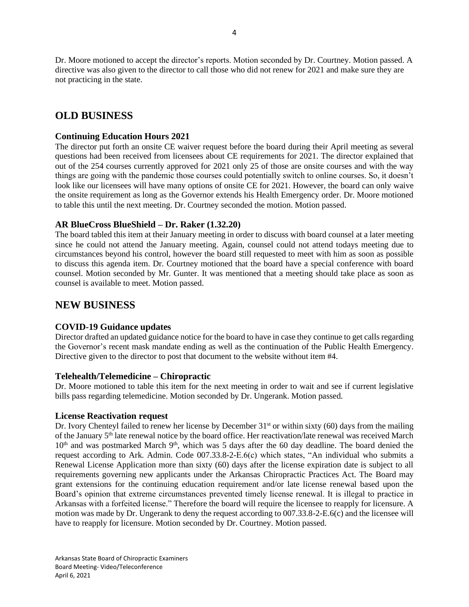Dr. Moore motioned to accept the director's reports. Motion seconded by Dr. Courtney. Motion passed. A directive was also given to the director to call those who did not renew for 2021 and make sure they are not practicing in the state.

# **OLD BUSINESS**

#### **Continuing Education Hours 2021**

The director put forth an onsite CE waiver request before the board during their April meeting as several questions had been received from licensees about CE requirements for 2021. The director explained that out of the 254 courses currently approved for 2021 only 25 of those are onsite courses and with the way things are going with the pandemic those courses could potentially switch to online courses. So, it doesn't look like our licensees will have many options of onsite CE for 2021. However, the board can only waive the onsite requirement as long as the Governor extends his Health Emergency order. Dr. Moore motioned to table this until the next meeting. Dr. Courtney seconded the motion. Motion passed.

#### **AR BlueCross BlueShield – Dr. Raker (1.32.20)**

The board tabled this item at their January meeting in order to discuss with board counsel at a later meeting since he could not attend the January meeting. Again, counsel could not attend todays meeting due to circumstances beyond his control, however the board still requested to meet with him as soon as possible to discuss this agenda item. Dr. Courtney motioned that the board have a special conference with board counsel. Motion seconded by Mr. Gunter. It was mentioned that a meeting should take place as soon as counsel is available to meet. Motion passed.

# **NEW BUSINESS**

### **COVID-19 Guidance updates**

Director drafted an updated guidance notice for the board to have in case they continue to get calls regarding the Governor's recent mask mandate ending as well as the continuation of the Public Health Emergency. Directive given to the director to post that document to the website without item #4.

#### **Telehealth/Telemedicine – Chiropractic**

Dr. Moore motioned to table this item for the next meeting in order to wait and see if current legislative bills pass regarding telemedicine. Motion seconded by Dr. Ungerank. Motion passed.

#### **License Reactivation request**

Dr. Ivory Chenteyl failed to renew her license by December  $31<sup>st</sup>$  or within sixty (60) days from the mailing of the January 5th late renewal notice by the board office. Her reactivation/late renewal was received March 10<sup>th</sup> and was postmarked March 9<sup>th</sup>, which was 5 days after the 60 day deadline. The board denied the request according to Ark. Admin. Code 007.33.8-2-E.6(c) which states, "An individual who submits a Renewal License Application more than sixty (60) days after the license expiration date is subject to all requirements governing new applicants under the Arkansas Chiropractic Practices Act. The Board may grant extensions for the continuing education requirement and/or late license renewal based upon the Board's opinion that extreme circumstances prevented timely license renewal. It is illegal to practice in Arkansas with a forfeited license." Therefore the board will require the licensee to reapply for licensure. A motion was made by Dr. Ungerank to deny the request according to 007.33.8-2-E.6(c) and the licensee will have to reapply for licensure. Motion seconded by Dr. Courtney. Motion passed.